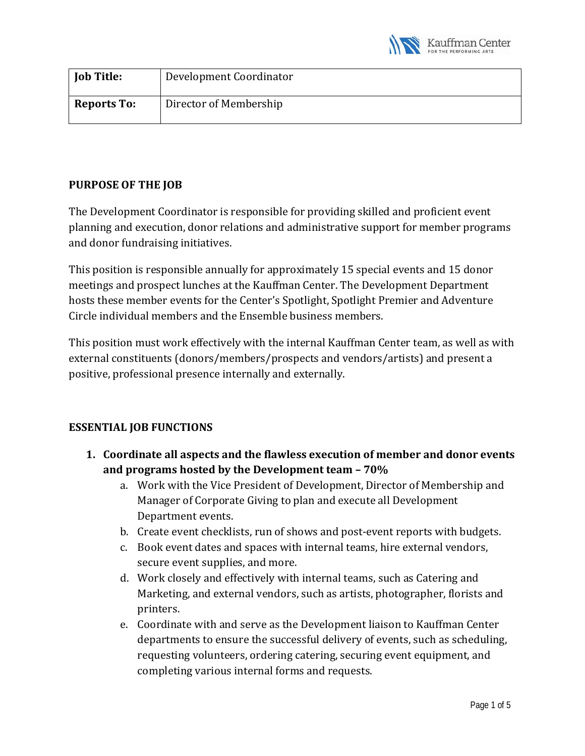

| <b>Job Title:</b>  | Development Coordinator |
|--------------------|-------------------------|
| <b>Reports To:</b> | Director of Membership  |

## **PURPOSE OF THE JOB**

The Development Coordinator is responsible for providing skilled and proficient event planning and execution, donor relations and administrative support for member programs and donor fundraising initiatives.

This position is responsible annually for approximately 15 special events and 15 donor meetings and prospect lunches at the Kauffman Center. The Development Department hosts these member events for the Center's Spotlight, Spotlight Premier and Adventure Circle individual members and the Ensemble business members.

This position must work effectively with the internal Kauffman Center team, as well as with external constituents (donors/members/prospects and vendors/artists) and present a positive, professional presence internally and externally.

## **ESSENTIAL JOB FUNCTIONS**

- **1. Coordinate all aspects and the flawless execution of member and donor events and programs hosted by the Development team – 70%**
	- a. Work with the Vice President of Development, Director of Membership and Manager of Corporate Giving to plan and execute all Development Department events.
	- b. Create event checklists, run of shows and post-event reports with budgets.
	- c. Book event dates and spaces with internal teams, hire external vendors, secure event supplies, and more.
	- d. Work closely and effectively with internal teams, such as Catering and Marketing, and external vendors, such as artists, photographer, florists and printers.
	- e. Coordinate with and serve as the Development liaison to Kauffman Center departments to ensure the successful delivery of events, such as scheduling, requesting volunteers, ordering catering, securing event equipment, and completing various internal forms and requests.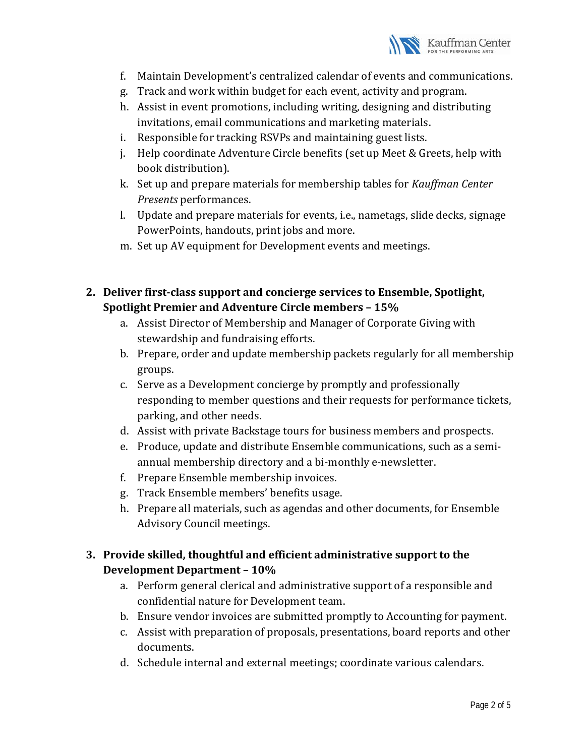

- f. Maintain Development's centralized calendar of events and communications.
- g. Track and work within budget for each event, activity and program.
- h. Assist in event promotions, including writing, designing and distributing invitations, email communications and marketing materials.
- i. Responsible for tracking RSVPs and maintaining guest lists.
- j. Help coordinate Adventure Circle benefits (set up Meet & Greets, help with book distribution).
- k. Set up and prepare materials for membership tables for *Kauffman Center Presents* performances.
- l. Update and prepare materials for events, i.e., nametags, slide decks, signage PowerPoints, handouts, print jobs and more.
- m. Set up AV equipment for Development events and meetings.
- **2. Deliver first-class support and concierge services to Ensemble, Spotlight, Spotlight Premier and Adventure Circle members – 15%**
	- a. Assist Director of Membership and Manager of Corporate Giving with stewardship and fundraising efforts.
	- b. Prepare, order and update membership packets regularly for all membership groups.
	- c. Serve as a Development concierge by promptly and professionally responding to member questions and their requests for performance tickets, parking, and other needs.
	- d. Assist with private Backstage tours for business members and prospects.
	- e. Produce, update and distribute Ensemble communications, such as a semiannual membership directory and a bi-monthly e-newsletter.
	- f. Prepare Ensemble membership invoices.
	- g. Track Ensemble members' benefits usage.
	- h. Prepare all materials, such as agendas and other documents, for Ensemble Advisory Council meetings.

# **3. Provide skilled, thoughtful and efficient administrative support to the Development Department – 10%**

- a. Perform general clerical and administrative support of a responsible and confidential nature for Development team.
- b. Ensure vendor invoices are submitted promptly to Accounting for payment.
- c. Assist with preparation of proposals, presentations, board reports and other documents.
- d. Schedule internal and external meetings; coordinate various calendars.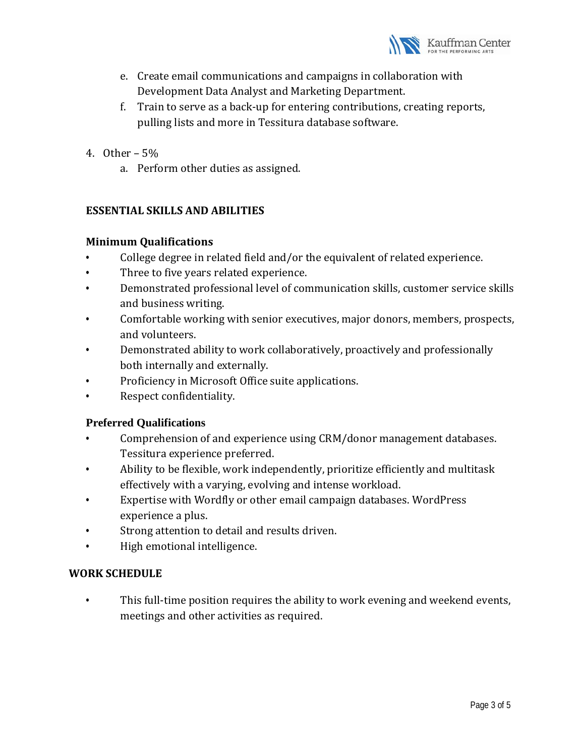

- e. Create email communications and campaigns in collaboration with Development Data Analyst and Marketing Department.
- f. Train to serve as a back-up for entering contributions, creating reports, pulling lists and more in Tessitura database software.
- 4. Other 5%
	- a. Perform other duties as assigned.

## **ESSENTIAL SKILLS AND ABILITIES**

### **Minimum Qualifications**

- College degree in related field and/or the equivalent of related experience.
- Three to five years related experience.
- Demonstrated professional level of communication skills, customer service skills and business writing.
- Comfortable working with senior executives, major donors, members, prospects, and volunteers.
- Demonstrated ability to work collaboratively, proactively and professionally both internally and externally.
- Proficiency in Microsoft Office suite applications.
- Respect confidentiality.

## **Preferred Qualifications**

- Comprehension of and experience using CRM/donor management databases. Tessitura experience preferred.
- Ability to be flexible, work independently, prioritize efficiently and multitask effectively with a varying, evolving and intense workload.
- Expertise with Wordfly or other email campaign databases. WordPress experience a plus.
- Strong attention to detail and results driven.
- High emotional intelligence.

## **WORK SCHEDULE**

This full-time position requires the ability to work evening and weekend events, meetings and other activities as required.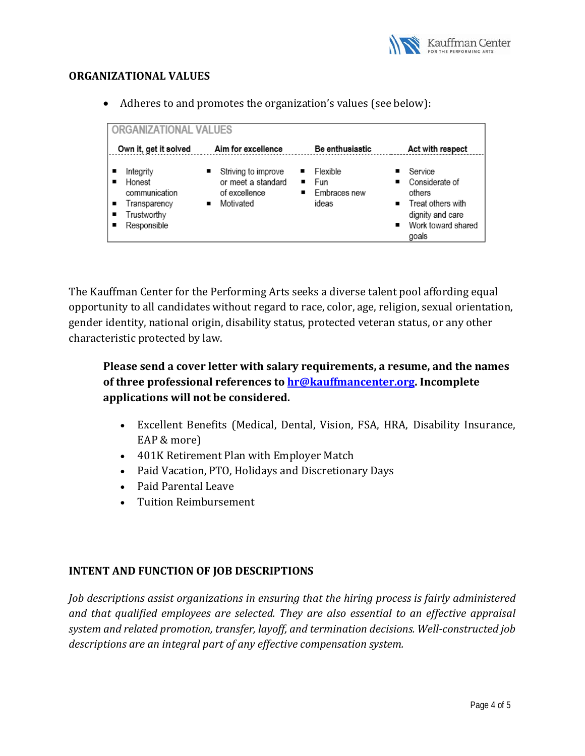

#### **ORGANIZATIONAL VALUES**

• Adheres to and promotes the organization's values (see below):

| ORGANIZATIONAL VALUES                                                                   |                                                                              |                                                           |                                                                                                             |  |
|-----------------------------------------------------------------------------------------|------------------------------------------------------------------------------|-----------------------------------------------------------|-------------------------------------------------------------------------------------------------------------|--|
| Own it, get it solved                                                                   | Aim for excellence                                                           | Be enthusiastic                                           | Act with respect                                                                                            |  |
| Integrity<br>Honest<br>communication<br>Transparency<br>٠<br>Trustworthy<br>Responsible | Striving to improve<br>or meet a standard<br>of excellence<br>Motivated<br>٠ | Flexible<br>$F_{\text{un}}$<br>Embraces new<br>٠<br>ideas | Service<br>Considerate of<br>others<br>Treat others with<br>dignity and care<br>Work toward shared<br>goals |  |

The Kauffman Center for the Performing Arts seeks a diverse talent pool affording equal opportunity to all candidates without regard to race, color, age, religion, sexual orientation, gender identity, national origin, disability status, protected veteran status, or any other characteristic protected by law.

**Please send a cover letter with salary requirements, a resume, and the names of three professional references t[o hr@kauffmancenter.org.](mailto:hr@kauffmancenter.org) Incomplete applications will not be considered.** 

- Excellent Benefits (Medical, Dental, Vision, FSA, HRA, Disability Insurance, EAP & more)
- 401K Retirement Plan with Employer Match
- Paid Vacation, PTO, Holidays and Discretionary Days
- Paid Parental Leave
- Tuition Reimbursement

## **INTENT AND FUNCTION OF JOB DESCRIPTIONS**

*Job descriptions assist organizations in ensuring that the hiring process is fairly administered and that qualified employees are selected. They are also essential to an effective appraisal system and related promotion, transfer, layoff, and termination decisions. Well-constructed job descriptions are an integral part of any effective compensation system.*